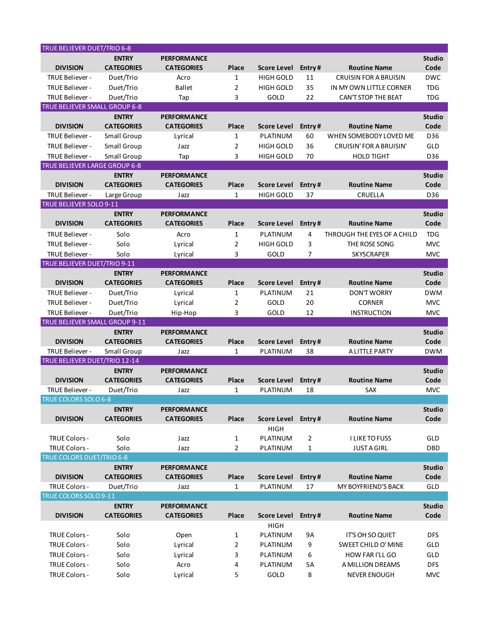| <b>TRUE BELIEVER DUET/TRIO 6-8</b>         |                   |                    |       |                         |                |                                |               |
|--------------------------------------------|-------------------|--------------------|-------|-------------------------|----------------|--------------------------------|---------------|
|                                            | <b>ENTRY</b>      | <b>PERFORMANCE</b> |       |                         |                |                                | <b>Studio</b> |
| <b>DIVISION</b>                            | <b>CATEGORIES</b> | <b>CATEGORIES</b>  | Place | Score Level             | Entry#         | <b>Routine Name</b>            | Code          |
| TRUE Believer -                            | Duet/Trio         | Acro               | 1     | <b>HIGH GOLD</b>        | 11             | <b>CRUISIN FOR A BRUISIN</b>   | <b>DWC</b>    |
| TRUE Believer -                            | Duet/Trio         | <b>Ballet</b>      | 2     | <b>HIGH GOLD</b>        | 35             | IN MY OWN LITTLE CORNER        | <b>TDG</b>    |
| TRUE Believer -                            | Duet/Trio         | Tap                | 3     | GOLD                    | 22             | CAN'T STOP THE BEAT            | <b>TDG</b>    |
| TRUE BELIEVER SMALL GROUP 6-8              |                   |                    |       |                         |                |                                |               |
|                                            | <b>ENTRY</b>      | <b>PERFORMANCE</b> |       |                         |                |                                | <b>Studio</b> |
| <b>DIVISION</b>                            | <b>CATEGORIES</b> | <b>CATEGORIES</b>  | Place | Score Level             | Entry#         | <b>Routine Name</b>            | Code          |
| TRUE Believer -                            | Small Group       | Lyrical            | 1     | PLATINUM                | 60             | WHEN SOMEBODY LOVED ME         | D36           |
| TRUE Believer -                            | Small Group       | Jazz               | 2     | <b>HIGH GOLD</b>        | 36             | <b>CRUISIN' FOR A BRUISIN'</b> | GLD           |
| TRUE Believer -                            | Small Group       | Tap                | 3     | <b>HIGH GOLD</b>        | 70             | <b>HOLD TIGHT</b>              | D36           |
| TRUE BELIEVER LARGE GROUP 6-8              |                   |                    |       |                         |                |                                |               |
|                                            | <b>ENTRY</b>      | <b>PERFORMANCE</b> |       |                         |                |                                | <b>Studio</b> |
| <b>DIVISION</b>                            | <b>CATEGORIES</b> | <b>CATEGORIES</b>  | Place | Score Level             | Entry#         | <b>Routine Name</b>            | Code          |
| TRUE Believer -<br>TRUE BELIEVER SOLO 9-11 | Large Group       | Jazz               | 1     | <b>HIGH GOLD</b>        | 37             | CRUELLA                        | D36           |
|                                            | <b>ENTRY</b>      | <b>PERFORMANCE</b> |       |                         |                |                                | <b>Studio</b> |
| <b>DIVISION</b>                            | <b>CATEGORIES</b> | <b>CATEGORIES</b>  | Place | <b>Score Level</b>      | Entry#         | <b>Routine Name</b>            | Code          |
| TRUE Believer -                            | Solo              | Acro               | 1     | PLATINUM                | 4              | THROUGH THE EYES OF A CHILD    | <b>TDG</b>    |
| TRUE Believer -                            | Solo              | Lyrical            | 2     | <b>HIGH GOLD</b>        | 3              | THE ROSE SONG                  | <b>MVC</b>    |
| TRUE Believer -                            | Solo              | Lyrical            | 3     | GOLD                    | 7              | <b>SKYSCRAPER</b>              | <b>MVC</b>    |
| TRUE BELIEVER DUET/TRIO 9-11               |                   |                    |       |                         |                |                                |               |
|                                            | <b>ENTRY</b>      | <b>PERFORMANCE</b> |       |                         |                |                                | <b>Studio</b> |
| <b>DIVISION</b>                            | <b>CATEGORIES</b> | <b>CATEGORIES</b>  | Place | Score Level             | Entry#         | <b>Routine Name</b>            | Code          |
| TRUE Believer -                            | Duet/Trio         | Lyrical            | 1     | PLATINUM                | 21             | <b>DON'T WORRY</b>             | <b>DWM</b>    |
| TRUE Believer -                            | Duet/Trio         | Lyrical            | 2     | GOLD                    | 20             | <b>CORNER</b>                  | <b>MVC</b>    |
| TRUE Believer -                            | Duet/Trio         | Hip-Hop            | 3     | GOLD                    | 12             | <b>INSTRUCTION</b>             | <b>MVC</b>    |
| TRUE BELIEVER SMALL GROUP 9-11             |                   |                    |       |                         |                |                                |               |
|                                            | <b>ENTRY</b>      | <b>PERFORMANCE</b> |       |                         |                |                                | <b>Studio</b> |
| <b>DIVISION</b>                            | <b>CATEGORIES</b> | <b>CATEGORIES</b>  | Place | <b>Score Level</b>      | Entry#         | <b>Routine Name</b>            | Code          |
| TRUE Believer -                            | Small Group       | Jazz               | 1     | PLATINUM                | 38             | A LITTLE PARTY                 | <b>DWM</b>    |
| TRUE BELIEVER DUET/TRIO 12-14              |                   |                    |       |                         |                |                                |               |
|                                            | <b>ENTRY</b>      | <b>PERFORMANCE</b> |       |                         |                |                                | <b>Studio</b> |
| <b>DIVISION</b>                            | <b>CATEGORIES</b> | <b>CATEGORIES</b>  | Place | <b>Score Level</b>      | Entry#         | <b>Routine Name</b>            | Code          |
| TRUE Believer -                            | Duet/Trio         | Jazz               | 1     | PLATINUM                | 18             | SAX                            | <b>MVC</b>    |
| TRUE COLORS SOLO 6-8                       |                   |                    |       |                         |                |                                |               |
|                                            | <b>ENTRY</b>      | <b>PERFORMANCE</b> |       |                         |                |                                | <b>Studio</b> |
| <b>DIVISION</b>                            | <b>CATEGORIES</b> | <b>CATEGORIES</b>  | Place | Score Level             | Entry#         | <b>Routine Name</b>            | Code          |
| <b>TRUE Colors -</b>                       | Solo              | Jazz               | 1     | <b>HIGH</b><br>PLATINUM | $\overline{2}$ | <b>I LIKE TO FUSS</b>          | GLD           |
| TRUE Colors -                              | Solo              | Jazz               | 2     | PLATINUM                | 1              | <b>JUST A GIRL</b>             | DBD           |
| TRUE COLORS DUET/TRIO 6-8                  |                   |                    |       |                         |                |                                |               |
|                                            | <b>ENTRY</b>      | <b>PERFORMANCE</b> |       |                         |                |                                | <b>Studio</b> |
| <b>DIVISION</b>                            | <b>CATEGORIES</b> | <b>CATEGORIES</b>  | Place | <b>Score Level</b>      | Entry#         | <b>Routine Name</b>            | Code          |
| TRUE Colors -                              | Duet/Trio         | Jazz               | 1     | PLATINUM                | 17             | MY BOYFRIEND'S BACK            | GLD           |
| TRUE COLORS SOLO 9-11                      |                   |                    |       |                         |                |                                |               |
|                                            | <b>ENTRY</b>      | <b>PERFORMANCE</b> |       |                         |                |                                | <b>Studio</b> |
| <b>DIVISION</b>                            | <b>CATEGORIES</b> | <b>CATEGORIES</b>  | Place | <b>Score Level</b>      | Entry#         | <b>Routine Name</b>            | Code          |
|                                            |                   |                    |       | <b>HIGH</b>             |                |                                |               |
| <b>TRUE Colors -</b>                       | Solo              | Open               | 1     | PLATINUM                | 9A             | IT'S OH SO QUIET               | <b>DFS</b>    |
| TRUE Colors -                              | Solo              | Lyrical            | 2     | PLATINUM                | 9              | SWEET CHILD O' MINE            | GLD           |
| TRUE Colors -                              | Solo              | Lyrical            | 3     | PLATINUM                | 6              | HOW FAR I'LL GO                | GLD           |
| TRUE Colors -                              | Solo              | Acro               | 4     | PLATINUM                | 5А             | A MILLION DREAMS               | <b>DFS</b>    |
| TRUE Colors -                              | Solo              | Lyrical            | 5     | GOLD                    | 8              | <b>NEVER ENOUGH</b>            | <b>MVC</b>    |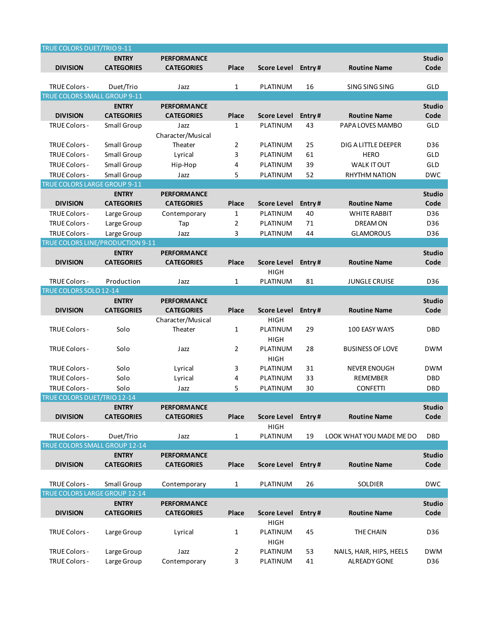| TRUE COLORS DUET/TRIO 9-11         |                   |                    |       |                         |        |                          |               |
|------------------------------------|-------------------|--------------------|-------|-------------------------|--------|--------------------------|---------------|
|                                    | <b>ENTRY</b>      | <b>PERFORMANCE</b> |       |                         |        |                          | <b>Studio</b> |
| <b>DIVISION</b>                    | <b>CATEGORIES</b> | <b>CATEGORIES</b>  | Place | Score Level             | Entry# | <b>Routine Name</b>      | Code          |
|                                    |                   |                    |       |                         |        |                          |               |
| TRUE Colors -                      | Duet/Trio         | Jazz               | 1     | PLATINUM                | 16     | SING SING SING           | GLD           |
| TRUE COLORS SMALL GROUP 9-11       |                   |                    |       |                         |        |                          |               |
|                                    | <b>ENTRY</b>      | <b>PERFORMANCE</b> |       |                         |        |                          | <b>Studio</b> |
| <b>DIVISION</b>                    | <b>CATEGORIES</b> | <b>CATEGORIES</b>  | Place | <b>Score Level</b>      | Entry# | <b>Routine Name</b>      | Code          |
| TRUE Colors -                      | Small Group       | Jazz               | 1     | PLATINUM                | 43     | PAPA LOVES MAMBO         | GLD           |
|                                    |                   | Character/Musical  |       |                         |        |                          |               |
| <b>TRUE Colors -</b>               | Small Group       | Theater            | 2     | PLATINUM                | 25     | DIG A LITTLE DEEPER      | D36           |
| <b>TRUE Colors -</b>               | Small Group       | Lyrical            | 3     | PLATINUM                | 61     | <b>HERO</b>              | GLD           |
| TRUE Colors -                      | Small Group       | Hip-Hop            | 4     | PLATINUM                | 39     | <b>WALK IT OUT</b>       | GLD           |
| TRUE Colors -                      | Small Group       | Jazz               | 5     | PLATINUM                | 52     | <b>RHYTHM NATION</b>     | <b>DWC</b>    |
| TRUE COLORS LARGE GROUP 9-11       |                   |                    |       |                         |        |                          |               |
|                                    | <b>ENTRY</b>      | <b>PERFORMANCE</b> |       |                         |        |                          | <b>Studio</b> |
| <b>DIVISION</b>                    | <b>CATEGORIES</b> | <b>CATEGORIES</b>  | Place | <b>Score Level</b>      | Entry# | <b>Routine Name</b>      | Code          |
| <b>TRUE Colors -</b>               | Large Group       | Contemporary       | 1     | PLATINUM                | 40     | <b>WHITE RABBIT</b>      | D36           |
| <b>TRUE Colors -</b>               | Large Group       | Tap                | 2     | PLATINUM                | 71     | DREAM ON                 | D36           |
| TRUE Colors -                      | Large Group       | Jazz               | 3     | PLATINUM                | 44     | <b>GLAMOROUS</b>         | D36           |
| TRUE COLORS LINE/PRODUCTION 9-11   |                   |                    |       |                         |        |                          |               |
|                                    | <b>ENTRY</b>      | <b>PERFORMANCE</b> |       |                         |        |                          | <b>Studio</b> |
| <b>DIVISION</b>                    | <b>CATEGORIES</b> | <b>CATEGORIES</b>  | Place | <b>Score Level</b>      | Entry# | <b>Routine Name</b>      | Code          |
|                                    |                   |                    |       | <b>HIGH</b>             |        |                          |               |
| TRUE Colors -                      | Production        | Jazz               | 1     | PLATINUM                | 81     | <b>JUNGLE CRUISE</b>     | D36           |
| TRUE COLORS SOLO 12-14             |                   |                    |       |                         |        |                          |               |
|                                    | <b>ENTRY</b>      | <b>PERFORMANCE</b> |       |                         |        |                          | <b>Studio</b> |
| <b>DIVISION</b>                    | <b>CATEGORIES</b> | <b>CATEGORIES</b>  | Place | <b>Score Level</b>      | Entry# | <b>Routine Name</b>      | Code          |
|                                    |                   | Character/Musical  |       | <b>HIGH</b>             |        |                          |               |
| <b>TRUE Colors -</b>               | Solo              | Theater            | 1     | PLATINUM                | 29     | 100 EASY WAYS            | DBD           |
|                                    |                   |                    |       | HIGH                    |        |                          |               |
| <b>TRUE Colors -</b>               | Solo              | Jazz               | 2     | PLATINUM                | 28     | <b>BUSINESS OF LOVE</b>  | <b>DWM</b>    |
|                                    |                   |                    |       | HIGH                    |        |                          |               |
| <b>TRUE Colors -</b>               | Solo              | Lyrical            | 3     | PLATINUM                | 31     | <b>NEVER ENOUGH</b>      | <b>DWM</b>    |
| TRUE Colors -                      | Solo              | Lyrical            | 4     | PLATINUM                | 33     | <b>REMEMBER</b>          | <b>DBD</b>    |
| <b>TRUE Colors -</b>               | Solo              | Jazz               | 5     | PLATINUM                | 30     | <b>CONFETTI</b>          | <b>DBD</b>    |
| <b>TRUE COLORS DUET/TRIO 12-14</b> |                   |                    |       |                         |        |                          |               |
|                                    | <b>ENTRY</b>      | <b>PERFORMANCE</b> |       |                         |        |                          | <b>Studio</b> |
| <b>DIVISION</b>                    | <b>CATEGORIES</b> | <b>CATEGORIES</b>  | Place | <b>Score Level</b>      | Entry# | <b>Routine Name</b>      | Code          |
| TRUE Colors -                      | Duet/Trio         | Jazz               |       | <b>HIGH</b><br>PLATINUM | 19     | LOOK WHAT YOU MADE ME DO | <b>DBD</b>    |
| TRUE COLORS SMALL GROUP 12-14      |                   |                    | 1     |                         |        |                          |               |
|                                    | <b>ENTRY</b>      | <b>PERFORMANCE</b> |       |                         |        |                          | <b>Studio</b> |
| <b>DIVISION</b>                    | <b>CATEGORIES</b> | <b>CATEGORIES</b>  | Place | <b>Score Level</b>      | Entry# | <b>Routine Name</b>      | Code          |
|                                    |                   |                    |       |                         |        |                          |               |
| TRUE Colors -                      | Small Group       | Contemporary       | 1     | PLATINUM                | 26     | <b>SOLDIER</b>           | <b>DWC</b>    |
| TRUE COLORS LARGE GROUP 12-14      |                   |                    |       |                         |        |                          |               |
|                                    | <b>ENTRY</b>      | <b>PERFORMANCE</b> |       |                         |        |                          | <b>Studio</b> |
| <b>DIVISION</b>                    | <b>CATEGORIES</b> | <b>CATEGORIES</b>  | Place | <b>Score Level</b>      | Entry# | <b>Routine Name</b>      | Code          |
|                                    |                   |                    |       | <b>HIGH</b>             |        |                          |               |
| <b>TRUE Colors -</b>               | Large Group       | Lyrical            | 1     | PLATINUM                | 45     | THE CHAIN                | D36           |
|                                    |                   |                    |       | <b>HIGH</b>             |        |                          |               |
| TRUE Colors -                      | Large Group       | Jazz               | 2     | PLATINUM                | 53     | NAILS, HAIR, HIPS, HEELS | <b>DWM</b>    |
| TRUE Colors -                      | Large Group       | Contemporary       | 3     | PLATINUM                | 41     | ALREADY GONE             | D36           |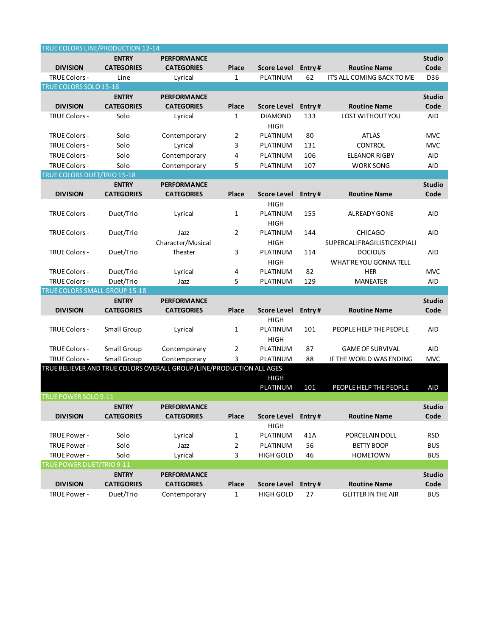| TRUE COLORS LINE/PRODUCTION 12-14 |                   |                                                                      |                |                         |        |                             |               |
|-----------------------------------|-------------------|----------------------------------------------------------------------|----------------|-------------------------|--------|-----------------------------|---------------|
|                                   | <b>ENTRY</b>      | <b>PERFORMANCE</b>                                                   |                |                         |        |                             | <b>Studio</b> |
| <b>DIVISION</b>                   | <b>CATEGORIES</b> | <b>CATEGORIES</b>                                                    | Place          | Score Level             | Entry# | <b>Routine Name</b>         | Code          |
| TRUE Colors -                     | Line              | Lyrical                                                              | 1              | PLATINUM                | 62     | IT'S ALL COMING BACK TO ME  | D36           |
| TRUE COLORS SOLO 15-18            |                   |                                                                      |                |                         |        |                             |               |
|                                   | <b>ENTRY</b>      | <b>PERFORMANCE</b>                                                   |                |                         |        |                             | <b>Studio</b> |
| <b>DIVISION</b>                   | <b>CATEGORIES</b> | <b>CATEGORIES</b>                                                    | Place          | <b>Score Level</b>      | Entry# | <b>Routine Name</b>         | Code          |
| TRUE Colors -                     | Solo              | Lyrical                                                              | 1              | <b>DIAMOND</b>          | 133    | <b>LOST WITHOUT YOU</b>     | <b>AID</b>    |
|                                   |                   |                                                                      |                | <b>HIGH</b>             |        |                             |               |
| <b>TRUE Colors -</b>              | Solo              | Contemporary                                                         | 2              | PLATINUM                | 80     | <b>ATLAS</b>                | <b>MVC</b>    |
| TRUE Colors -                     | Solo              | Lyrical                                                              | 3              | PLATINUM                | 131    | <b>CONTROL</b>              | <b>MVC</b>    |
| TRUE Colors -                     | Solo              | Contemporary                                                         | 4              | PLATINUM                | 106    | <b>ELEANOR RIGBY</b>        | <b>AID</b>    |
| TRUE Colors -                     | Solo              | Contemporary                                                         | 5              | PLATINUM                | 107    | <b>WORK SONG</b>            | <b>AID</b>    |
| TRUE COLORS DUET/TRIO 15-18       |                   |                                                                      |                |                         |        |                             |               |
|                                   | <b>ENTRY</b>      | <b>PERFORMANCE</b>                                                   |                |                         |        |                             | <b>Studio</b> |
| <b>DIVISION</b>                   | <b>CATEGORIES</b> | <b>CATEGORIES</b>                                                    | Place          | <b>Score Level</b>      | Entry# | <b>Routine Name</b>         | Code          |
|                                   |                   |                                                                      |                | <b>HIGH</b>             |        |                             |               |
| <b>TRUE Colors -</b>              | Duet/Trio         | Lyrical                                                              | 1              | PLATINUM                | 155    | <b>ALREADY GONE</b>         | AID           |
|                                   |                   |                                                                      |                | <b>HIGH</b>             |        |                             |               |
| <b>TRUE Colors -</b>              | Duet/Trio         | Jazz                                                                 | $\overline{2}$ | PLATINUM                | 144    | <b>CHICAGO</b>              | <b>AID</b>    |
|                                   |                   | Character/Musical                                                    |                | <b>HIGH</b>             |        | SUPERCALIFRAGILISTICEXPIALI |               |
| <b>TRUE Colors -</b>              | Duet/Trio         | Theater                                                              | 3              | PLATINUM                | 114    | <b>DOCIOUS</b>              | <b>AID</b>    |
|                                   |                   |                                                                      |                | <b>HIGH</b>             |        | WHAT'RE YOU GONNA TELL      |               |
| <b>TRUE Colors -</b>              | Duet/Trio         | Lyrical                                                              | 4              | PLATINUM                | 82     | <b>HER</b>                  | <b>MVC</b>    |
| TRUE Colors -                     | Duet/Trio         | Jazz                                                                 | 5              | PLATINUM                | 129    | <b>MANEATER</b>             | <b>AID</b>    |
| TRUE COLORS SMALL GROUP 15-18     |                   |                                                                      |                |                         |        |                             |               |
|                                   | <b>ENTRY</b>      | <b>PERFORMANCE</b>                                                   |                |                         |        |                             | <b>Studio</b> |
| <b>DIVISION</b>                   | <b>CATEGORIES</b> | <b>CATEGORIES</b>                                                    | Place          | <b>Score Level</b>      | Entry# | <b>Routine Name</b>         | Code          |
|                                   |                   |                                                                      |                | <b>HIGH</b>             |        |                             |               |
| <b>TRUE Colors -</b>              | Small Group       | Lyrical                                                              | $\mathbf{1}$   | PLATINUM                | 101    | PEOPLE HELP THE PEOPLE      | <b>AID</b>    |
|                                   |                   |                                                                      |                | <b>HIGH</b>             |        |                             |               |
| TRUE Colors -                     | Small Group       | Contemporary                                                         | 2              | PLATINUM                | 87     | <b>GAME OF SURVIVAL</b>     | <b>AID</b>    |
| TRUE Colors -                     | Small Group       | Contemporary                                                         | 3              | PLATINUM                | 88     | IF THE WORLD WAS ENDING     | <b>MVC</b>    |
|                                   |                   | TRUE BELIEVER AND TRUE COLORS OVERALL GROUP/LINE/PRODUCTION ALL AGES |                |                         |        |                             |               |
|                                   |                   |                                                                      |                | <b>HIGH</b><br>PLATINUM | 101    | PEOPLE HELP THE PEOPLE      | <b>AID</b>    |
| <b>TRUE POWER SOLO 9-11</b>       |                   |                                                                      |                |                         |        |                             |               |
|                                   | <b>ENTRY</b>      | <b>PERFORMANCE</b>                                                   |                |                         |        |                             | Studio        |
| <b>DIVISION</b>                   | <b>CATEGORIES</b> | <b>CATEGORIES</b>                                                    | Place          | <b>Score Level</b>      | Entry# | <b>Routine Name</b>         | Code          |
|                                   |                   |                                                                      |                | <b>HIGH</b>             |        |                             |               |
| TRUE Power -                      | Solo              | Lyrical                                                              | 1              | PLATINUM                | 41A    | PORCELAIN DOLL              | <b>RSD</b>    |
| TRUE Power -                      | Solo              | Jazz                                                                 | 2              | PLATINUM                | 56     | <b>BETTY BOOP</b>           | <b>BUS</b>    |
| TRUE Power -                      | Solo              | Lyrical                                                              | 3              | <b>HIGH GOLD</b>        | 46     | <b>HOMETOWN</b>             | <b>BUS</b>    |
| TRUE POWER DUET/TRIO 9-11         |                   |                                                                      |                |                         |        |                             |               |
|                                   | <b>ENTRY</b>      | <b>PERFORMANCE</b>                                                   |                |                         |        |                             | <b>Studio</b> |
| <b>DIVISION</b>                   | <b>CATEGORIES</b> | <b>CATEGORIES</b>                                                    | Place          | <b>Score Level</b>      | Entry# | <b>Routine Name</b>         | Code          |
| TRUE Power -                      | Duet/Trio         | Contemporary                                                         | 1              | <b>HIGH GOLD</b>        | 27     | <b>GLITTER IN THE AIR</b>   | <b>BUS</b>    |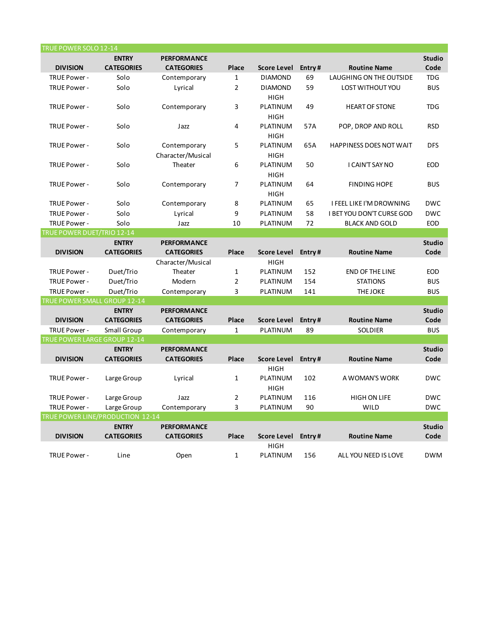| TRUE POWER SOLO 12-14            |                   |                    |                |                    |        |                                 |               |
|----------------------------------|-------------------|--------------------|----------------|--------------------|--------|---------------------------------|---------------|
|                                  | <b>ENTRY</b>      | <b>PERFORMANCE</b> |                |                    |        |                                 | <b>Studio</b> |
| <b>DIVISION</b>                  | <b>CATEGORIES</b> | <b>CATEGORIES</b>  | Place          | <b>Score Level</b> | Entry# | <b>Routine Name</b>             | Code          |
| TRUE Power -                     | Solo              | Contemporary       | $\mathbf{1}$   | <b>DIAMOND</b>     | 69     | <b>LAUGHING ON THE OUTSIDE</b>  | <b>TDG</b>    |
| TRUE Power -                     | Solo              | Lyrical            | $\overline{2}$ | <b>DIAMOND</b>     | 59     | LOST WITHOUT YOU                | <b>BUS</b>    |
|                                  |                   |                    |                | HIGH               |        |                                 |               |
| TRUE Power -                     | Solo              | Contemporary       | 3              | PLATINUM           | 49     | <b>HEART OF STONE</b>           | <b>TDG</b>    |
|                                  |                   |                    |                | <b>HIGH</b>        |        |                                 |               |
| TRUE Power -                     | Solo              | Jazz               | 4              | PLATINUM           | 57A    | POP, DROP AND ROLL              | <b>RSD</b>    |
|                                  |                   |                    |                | <b>HIGH</b>        |        |                                 |               |
| TRUE Power -                     | Solo              | Contemporary       | 5              | PLATINUM           | 65A    | HAPPINESS DOES NOT WAIT         | <b>DFS</b>    |
|                                  |                   | Character/Musical  |                | <b>HIGH</b>        |        |                                 |               |
| TRUE Power -                     | Solo              | Theater            | 6              | PLATINUM           | 50     | I CAIN'T SAY NO                 | <b>EOD</b>    |
|                                  |                   |                    |                | <b>HIGH</b>        |        |                                 |               |
| TRUE Power -                     | Solo              | Contemporary       | 7              | PLATINUM           | 64     | <b>FINDING HOPE</b>             | <b>BUS</b>    |
|                                  |                   |                    |                | HIGH               |        |                                 |               |
| TRUE Power -                     | Solo              | Contemporary       | 8              | PLATINUM           | 65     | <b>I FEEL LIKE I'M DROWNING</b> | <b>DWC</b>    |
| TRUE Power -                     | Solo              | Lyrical            | 9              | PLATINUM           | 58     | I BET YOU DON'T CURSE GOD       | <b>DWC</b>    |
| TRUE Power -                     | Solo              | Jazz               | 10             | PLATINUM           | 72     | <b>BLACK AND GOLD</b>           | <b>EOD</b>    |
| TRUE POWER DUET/TRIO 12-14       |                   |                    |                |                    |        |                                 |               |
|                                  | <b>ENTRY</b>      | <b>PERFORMANCE</b> |                |                    |        |                                 | <b>Studio</b> |
| <b>DIVISION</b>                  | <b>CATEGORIES</b> | <b>CATEGORIES</b>  | Place          | <b>Score Level</b> | Entry# | <b>Routine Name</b>             | Code          |
|                                  |                   | Character/Musical  |                | <b>HIGH</b>        |        |                                 |               |
| TRUE Power -                     | Duet/Trio         | Theater            | $\mathbf{1}$   | PLATINUM           | 152    | <b>END OF THE LINE</b>          | <b>EOD</b>    |
| TRUE Power -                     | Duet/Trio         | Modern             | $\overline{2}$ | PLATINUM           | 154    | <b>STATIONS</b>                 | <b>BUS</b>    |
| TRUE Power -                     | Duet/Trio         | Contemporary       | 3              | PLATINUM           | 141    | <b>THE JOKE</b>                 | <b>BUS</b>    |
| TRUE POWER SMALL GROUP 12-14     |                   |                    |                |                    |        |                                 |               |
|                                  | <b>ENTRY</b>      | <b>PERFORMANCE</b> |                |                    |        |                                 | <b>Studio</b> |
| <b>DIVISION</b>                  | <b>CATEGORIES</b> | <b>CATEGORIES</b>  | Place          | <b>Score Level</b> | Entry# | <b>Routine Name</b>             | Code          |
| TRUE Power -                     | Small Group       | Contemporary       | $\mathbf{1}$   | PLATINUM           | 89     | <b>SOLDIER</b>                  | <b>BUS</b>    |
| TRUE POWER LARGE GROUP 12-14     |                   |                    |                |                    |        |                                 |               |
|                                  | <b>ENTRY</b>      | <b>PERFORMANCE</b> |                |                    |        |                                 | <b>Studio</b> |
| <b>DIVISION</b>                  | <b>CATEGORIES</b> | <b>CATEGORIES</b>  | Place          | Score Level        | Entry# | <b>Routine Name</b>             | Code          |
|                                  |                   |                    |                | <b>HIGH</b>        |        |                                 |               |
| TRUE Power -                     | Large Group       | Lyrical            | $\mathbf 1$    | PLATINUM           | 102    | A WOMAN'S WORK                  | <b>DWC</b>    |
|                                  |                   |                    |                | HIGH               |        |                                 |               |
| TRUE Power -                     | Large Group       | Jazz               | 2              | PLATINUM           | 116    | <b>HIGH ON LIFE</b>             | <b>DWC</b>    |
| TRUE Power -                     | Large Group       | Contemporary       | 3              | PLATINUM           | 90     | <b>WILD</b>                     | <b>DWC</b>    |
| TRUE POWER LINE/PRODUCTION 12-14 |                   |                    |                |                    |        |                                 |               |
|                                  | <b>ENTRY</b>      | <b>PERFORMANCE</b> |                |                    |        |                                 | <b>Studio</b> |
| <b>DIVISION</b>                  | <b>CATEGORIES</b> | <b>CATEGORIES</b>  | Place          | <b>Score Level</b> | Entry# | <b>Routine Name</b>             | Code          |
|                                  |                   |                    |                | <b>HIGH</b>        |        |                                 |               |
| TRUE Power -                     | Line              | Open               | $\mathbf{1}$   | PLATINUM           | 156    | ALL YOU NEED IS LOVE            | <b>DWM</b>    |